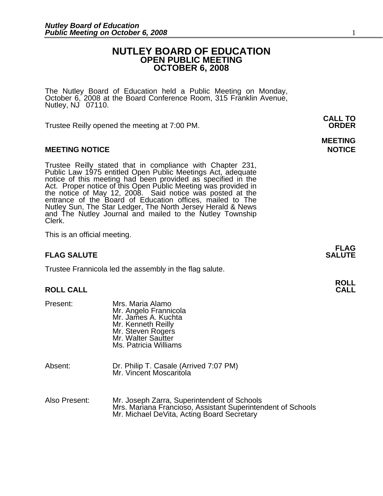### **NUTLEY BOARD OF EDUCATION OPEN PUBLIC MEETING OCTOBER 6, 2008**

The Nutley Board of Education held a Public Meeting on Monday,<br>October 6, 2008 at the Board Conference Room, 315 Franklin Avenue, Nutley, NJ 07110.

Trustee Reilly opened the meeting at 7:00 PM. **ORDER**

#### **MEETING NOTICE NOTICE AND INCOMEDIATE**

Trustee Reilly stated that in compliance with Chapter 231,<br>Public Law 1975 entitled Open Public Meetings Act, adequate<br>notice of this meeting had been provided as specified in the<br>Act. Proper notice of this Open Public Mee the notice of May 12, 2008. Said notice was posted at the<br>entrance of the Board of Education offices, mailed to The Nutley Sun, The Star Ledger, The North Jersey Herald & News and The Nutley Journal and mailed to the Nutley Township Clerk.

This is an official meeting.

#### **FLAG SALUTE** SALUTE

Trustee Frannicola led the assembly in the flag salute.

## **ROLL ROLL CALL CALL**

| Present: | Mrs. Maria Alamo<br>Mr. Angelo Frannicola<br>Mr. James A. Kuchta<br>Mr. Kenneth Reilly<br>Mr. Steven Rogers<br>Mr. Walter Sautter<br>Ms. Patricia Williams |  |
|----------|------------------------------------------------------------------------------------------------------------------------------------------------------------|--|
| Absent:  | Dr. Philip T. Casale (Arrived 7:07 PM)<br>Mr. Vincent Moscaritola                                                                                          |  |
|          |                                                                                                                                                            |  |

| Also Present: | Mr. Joseph Zarra, Superintendent of Schools                 |  |  |
|---------------|-------------------------------------------------------------|--|--|
|               | Mrs. Mariana Francioso, Assistant Superintendent of Schools |  |  |
|               | Mr. Michael DeVita, Acting Board Secretary                  |  |  |

**CALL TO** 

# **MEETING**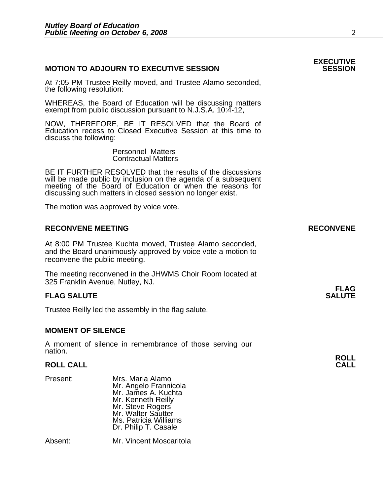#### **MOTION TO ADJOURN TO EXECUTIVE SESSION**

At 7:05 PM Trustee Reilly moved, and Trustee Alamo seconded, the following resolution:

WHEREAS, the Board of Education will be discussing matters exempt from public discussion pursuant to N.J.S.A. 10:4-12,

NOW, THEREFORE, BE IT RESOLVED that the Board of Education recess to Closed Executive Session at this time to discuss the following:

> Personnel Matters Contractual Matters

 BE IT FURTHER RESOLVED that the results of the discussions will be made public by inclusion on the agenda of a subsequent meeting of the Board of Education or when the reasons for discussing such matters in closed session no longer exist.

The motion was approved by voice vote.

#### **RECONVENE MEETING RECONVENE**

At 8:00 PM Trustee Kuchta moved, Trustee Alamo seconded, and the Board unanimously approved by voice vote a motion to reconvene the public meeting.

The meeting reconvened in the JHWMS Choir Room located at 325 Franklin Avenue, Nutley, NJ.

#### **FLAG SALUTE** SALUTE SALUTE SALUTE SALUTE SALUTE

Trustee Reilly led the assembly in the flag salute.

#### **MOMENT OF SILENCE**

A moment of silence in remembrance of those serving our nation.

# **ROLL ROLL CALL CALL**

Present: Mrs. Maria Alamo<br>Mr. Angelo Frannicola Mr. Angelo Frannicola<br>Mr. James A. Kuchta Mr. Kenneth Reilly Mr. Steve Rogers Mr. Walter Sautter Ms. Patricia Williams Dr. Philip T. Casale

Absent: Mr. Vincent Moscaritola

# **EXECUTIVE**

**FLAG**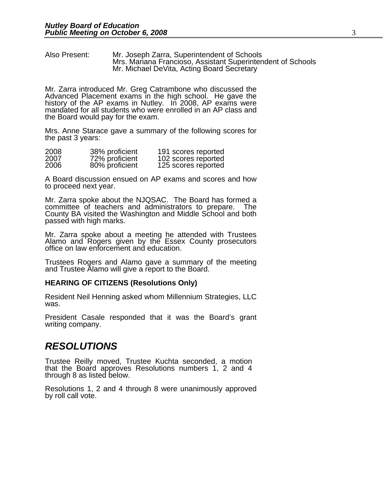Also Present: Mr. Joseph Zarra, Superintendent of Schools Mrs. Mariana Francioso, Assistant Superintendent of Schools Mr. Michael DeVita, Acting Board Secretary

Mr. Zarra introduced Mr. Greg Catrambone who discussed the Advanced Placement exams in the high school. He gave the history of the AP exams in Nutley. In 2008, AP exams were mandated for all students who were enrolled in an AP class and the Board would pay for the exam.

Mrs. Anne Starace gave a summary of the following scores for the past 3 years:

| 2008 | 38% proficient | 191 scores reported |
|------|----------------|---------------------|
| 2007 | 72% proficient | 102 scores reported |
| 2006 | 80% proficient | 125 scores reported |

A Board discussion ensued on AP exams and scores and how to proceed next year.

Mr. Zarra spoke about the NJQSAC. The Board has formed a committee of teachers and administrators to prepare. The County BA visited the Washington and Middle School and both passed with high marks.

Mr. Zarra spoke about a meeting he attended with Trustees Alamo and Rogers given by the Essex County prosecutors office on law enforcement and education.

Trustees Rogers and Alamo gave a summary of the meeting and Trustee Alamo will give a report to the Board.

#### **HEARING OF CITIZENS (Resolutions Only)**

Resident Neil Henning asked whom Millennium Strategies, LLC was.

President Casale responded that it was the Board's grant writing company.

### *RESOLUTIONS*

Trustee Reilly moved, Trustee Kuchta seconded, a motion that the Board approves Resolutions numbers 1, 2 and 4 through 8 as listed below.

Resolutions 1, 2 and 4 through 8 were unanimously approved by roll call vote.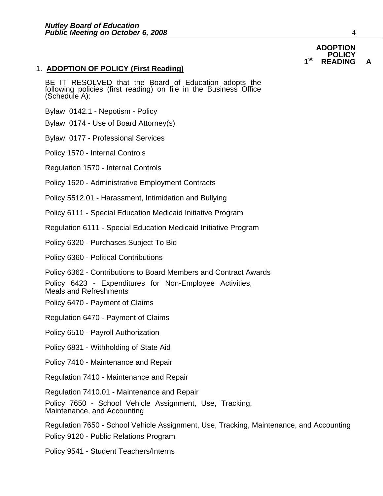### 1. **ADOPTION OF POLICY (First Reading)**

BE IT RESOLVED that the Board of Education adopts the following policies (first reading) on file in the Business Office (Schedule A):

Bylaw 0142.1 - Nepotism - Policy

Bylaw 0174 - Use of Board Attorney(s)

Bylaw 0177 - Professional Services

Policy 1570 - Internal Controls

Regulation 1570 - Internal Controls

Policy 1620 - Administrative Employment Contracts

Policy 5512.01 - Harassment, Intimidation and Bullying

Policy 6111 - Special Education Medicaid Initiative Program

Regulation 6111 - Special Education Medicaid Initiative Program

Policy 6320 - Purchases Subject To Bid

Policy 6360 - Political Contributions

Policy 6362 - Contributions to Board Members and Contract Awards

Policy 6423 - Expenditures for Non-Employee Activities, Meals and Refreshments

Policy 6470 - Payment of Claims

Regulation 6470 - Payment of Claims

Policy 6510 - Payroll Authorization

Policy 6831 - Withholding of State Aid

Policy 7410 - Maintenance and Repair

Regulation 7410 - Maintenance and Repair

Regulation 7410.01 - Maintenance and Repair

Policy 7650 - School Vehicle Assignment, Use, Tracking, Maintenance, and Accounting

Regulation 7650 - School Vehicle Assignment, Use, Tracking, Maintenance, and Accounting

Policy 9120 - Public Relations Program

Policy 9541 - Student Teachers/Interns

#### **ADOPTION POLICY** 1<sup>st</sup> READING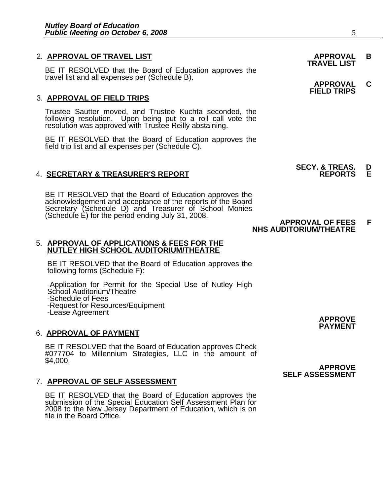## 2. **APPROVAL OF TRAVEL LIST APPROVAL B TRAVEL LIST**

BE IT RESOLVED that the Board of Education approves the<br>travel list and all expenses per (Schedule B). **APPROVAL C FIELD TRIPS** 

### 3. **APPROVAL OF FIELD TRIPS**

Trustee Sautter moved, and Trustee Kuchta seconded, the following resolution. Upon being put to a roll call vote the resolution was approved with Trustee Reilly abstaining.

BE IT RESOLVED that the Board of Education approves the field trip list and all expenses per (Schedule C).

### **4. SECRETARY & TREASURER'S REPORT**

BE IT RESOLVED that the Board of Education approves the acknowledgement and acceptance of the reports of the Board Secretary (Schedule D) and Treasurer of School Monies<br>(Schedule E) for the period ending July 31, 2008.<br>**NHS AUDITORIUM/THEATRE** 

#### 5. **APPROVAL OF APPLICATIONS & FEES FOR THE NUTLEY HIGH SCHOOL AUDITORIUM/THEATRE**

BE IT RESOLVED that the Board of Education approves the following forms (Schedule F):

-Application for Permit for the Special Use of Nutley High School Auditorium/Theatre -Schedule of Fees

-Request for Resources/Equipment

### 6. **APPROVAL OF PAYMENT**

BE IT RESOLVED that the Board of Education approves Check #077704 to Millennium Strategies, LLC in the amount of \$4,000.

#### 7. **APPROVAL OF SELF ASSESSMENT**

BE IT RESOLVED that the Board of Education approves the<br>submission of the Special Education Self Assessment Plan for 2008 to the New Jersey Department of Education, which is on file in the Board Office.

-Lease Agreement **APPROVE PAYMENT** 

 **APPROVE SELF ASSESSMENT** 

**SECY. & TREAS. D<br>REPORTS E**